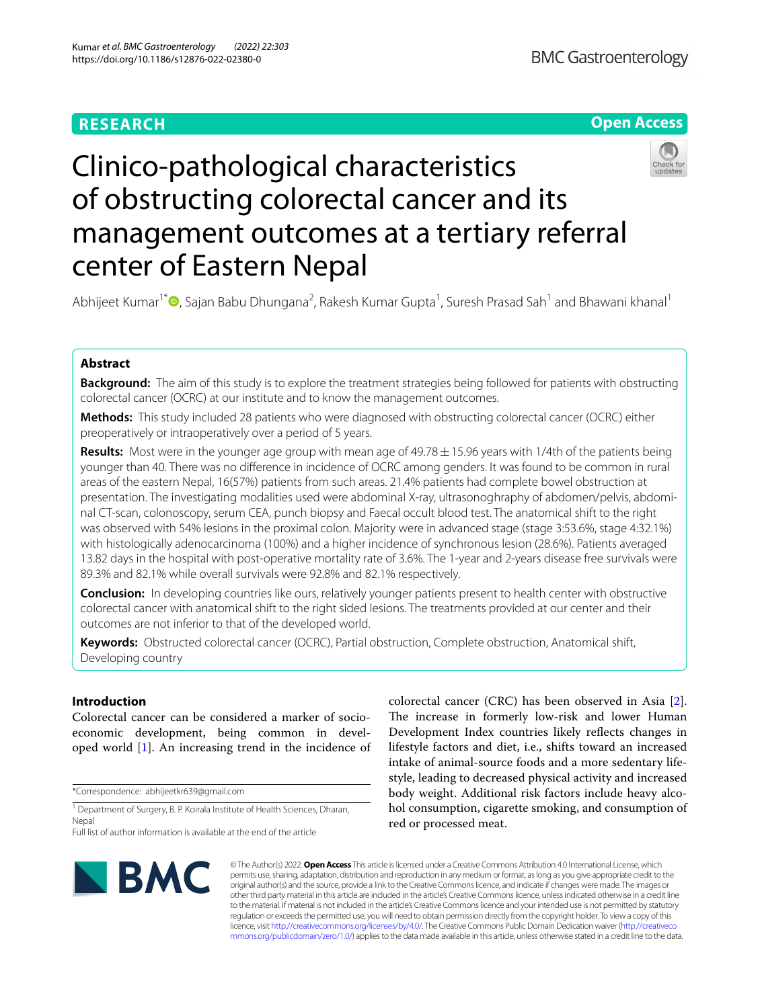# **RESEARCH**

# **Open Access**



# Clinico-pathological characteristics of obstructing colorectal cancer and its management outcomes at a tertiary referral center of Eastern Nepal

Abhijeet Kumar<sup>1[\\*](http://orcid.org/0000-0002-5355-6278)</sup> (D, Sajan Babu Dhungana<sup>2</sup>, Rakesh Kumar Gupta<sup>1</sup>, Suresh Prasad Sah<sup>1</sup> and Bhawani khanal<sup>1</sup>

# **Abstract**

**Background:** The aim of this study is to explore the treatment strategies being followed for patients with obstructing colorectal cancer (OCRC) at our institute and to know the management outcomes.

**Methods:** This study included 28 patients who were diagnosed with obstructing colorectal cancer (OCRC) either preoperatively or intraoperatively over a period of 5 years.

**Results:** Most were in the younger age group with mean age of 49.78±15.96 years with 1/4th of the patients being younger than 40. There was no diference in incidence of OCRC among genders. It was found to be common in rural areas of the eastern Nepal, 16(57%) patients from such areas. 21.4% patients had complete bowel obstruction at presentation. The investigating modalities used were abdominal X-ray, ultrasonoghraphy of abdomen/pelvis, abdominal CT-scan, colonoscopy, serum CEA, punch biopsy and Faecal occult blood test. The anatomical shift to the right was observed with 54% lesions in the proximal colon. Majority were in advanced stage (stage 3:53.6%, stage 4:32.1%) with histologically adenocarcinoma (100%) and a higher incidence of synchronous lesion (28.6%). Patients averaged 13.82 days in the hospital with post-operative mortality rate of 3.6%. The 1-year and 2-years disease free survivals were 89.3% and 82.1% while overall survivals were 92.8% and 82.1% respectively.

**Conclusion:** In developing countries like ours, relatively younger patients present to health center with obstructive colorectal cancer with anatomical shift to the right sided lesions. The treatments provided at our center and their outcomes are not inferior to that of the developed world.

**Keywords:** Obstructed colorectal cancer (OCRC), Partial obstruction, Complete obstruction, Anatomical shift, Developing country

# **Introduction**

Colorectal cancer can be considered a marker of socioeconomic development, being common in developed world [[1\]](#page-5-0). An increasing trend in the incidence of

\*Correspondence: abhijeetkr639@gmail.com

<sup>1</sup> Department of Surgery, B. P. Koirala Institute of Health Sciences, Dharan, Nepal

colorectal cancer (CRC) has been observed in Asia [\[2](#page-5-1)]. The increase in formerly low-risk and lower Human Development Index countries likely refects changes in lifestyle factors and diet, i.e., shifts toward an increased intake of animal-source foods and a more sedentary lifestyle, leading to decreased physical activity and increased body weight. Additional risk factors include heavy alcohol consumption, cigarette smoking, and consumption of red or processed meat.



© The Author(s) 2022. **Open Access** This article is licensed under a Creative Commons Attribution 4.0 International License, which permits use, sharing, adaptation, distribution and reproduction in any medium or format, as long as you give appropriate credit to the original author(s) and the source, provide a link to the Creative Commons licence, and indicate if changes were made. The images or other third party material in this article are included in the article's Creative Commons licence, unless indicated otherwise in a credit line to the material. If material is not included in the article's Creative Commons licence and your intended use is not permitted by statutory regulation or exceeds the permitted use, you will need to obtain permission directly from the copyright holder. To view a copy of this licence, visit [http://creativecommons.org/licenses/by/4.0/.](http://creativecommons.org/licenses/by/4.0/) The Creative Commons Public Domain Dedication waiver ([http://creativeco](http://creativecommons.org/publicdomain/zero/1.0/) [mmons.org/publicdomain/zero/1.0/](http://creativecommons.org/publicdomain/zero/1.0/)) applies to the data made available in this article, unless otherwise stated in a credit line to the data.

Full list of author information is available at the end of the article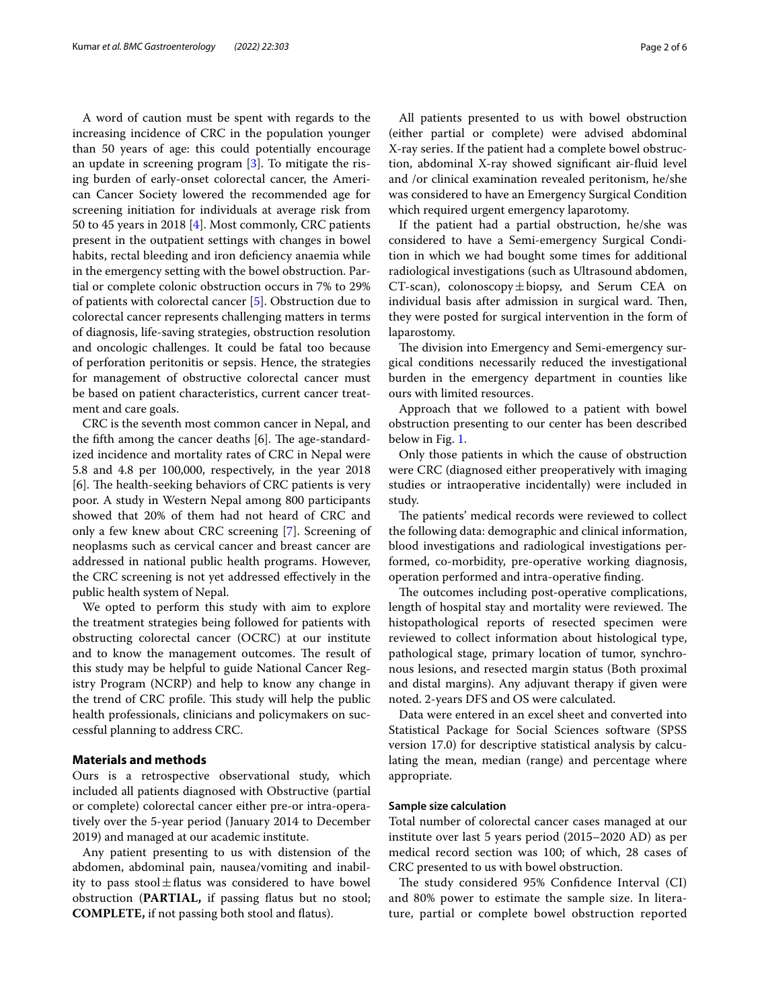A word of caution must be spent with regards to the increasing incidence of CRC in the population younger than 50 years of age: this could potentially encourage an update in screening program [\[3](#page-5-2)]. To mitigate the rising burden of early-onset colorectal cancer, the American Cancer Society lowered the recommended age for screening initiation for individuals at average risk from 50 to 45 years in 2018 [\[4](#page-5-3)]. Most commonly, CRC patients present in the outpatient settings with changes in bowel habits, rectal bleeding and iron deficiency anaemia while in the emergency setting with the bowel obstruction. Partial or complete colonic obstruction occurs in 7% to 29% of patients with colorectal cancer [[5\]](#page-5-4). Obstruction due to colorectal cancer represents challenging matters in terms of diagnosis, life-saving strategies, obstruction resolution and oncologic challenges. It could be fatal too because of perforation peritonitis or sepsis. Hence, the strategies for management of obstructive colorectal cancer must be based on patient characteristics, current cancer treatment and care goals.

CRC is the seventh most common cancer in Nepal, and the fifth among the cancer deaths  $[6]$ . The age-standardized incidence and mortality rates of CRC in Nepal were 5.8 and 4.8 per 100,000, respectively, in the year 2018 [6]. The health-seeking behaviors of CRC patients is very poor. A study in Western Nepal among 800 participants showed that 20% of them had not heard of CRC and only a few knew about CRC screening [[7\]](#page-5-5). Screening of neoplasms such as cervical cancer and breast cancer are addressed in national public health programs. However, the CRC screening is not yet addressed efectively in the public health system of Nepal.

We opted to perform this study with aim to explore the treatment strategies being followed for patients with obstructing colorectal cancer (OCRC) at our institute and to know the management outcomes. The result of this study may be helpful to guide National Cancer Registry Program (NCRP) and help to know any change in the trend of CRC profile. This study will help the public health professionals, clinicians and policymakers on successful planning to address CRC.

## **Materials and methods**

Ours is a retrospective observational study, which included all patients diagnosed with Obstructive (partial or complete) colorectal cancer either pre-or intra-operatively over the 5-year period (January 2014 to December 2019) and managed at our academic institute.

Any patient presenting to us with distension of the abdomen, abdominal pain, nausea/vomiting and inability to pass stool $\pm$ flatus was considered to have bowel obstruction (**PARTIAL,** if passing fatus but no stool; **COMPLETE,** if not passing both stool and fatus).

All patients presented to us with bowel obstruction (either partial or complete) were advised abdominal X-ray series. If the patient had a complete bowel obstruction, abdominal X-ray showed signifcant air-fuid level and /or clinical examination revealed peritonism, he/she was considered to have an Emergency Surgical Condition which required urgent emergency laparotomy.

If the patient had a partial obstruction, he/she was considered to have a Semi-emergency Surgical Condition in which we had bought some times for additional radiological investigations (such as Ultrasound abdomen, CT-scan), colonoscopy $\pm$ biopsy, and Serum CEA on individual basis after admission in surgical ward. Then, they were posted for surgical intervention in the form of laparostomy.

The division into Emergency and Semi-emergency surgical conditions necessarily reduced the investigational burden in the emergency department in counties like ours with limited resources.

Approach that we followed to a patient with bowel obstruction presenting to our center has been described below in Fig. [1.](#page-2-0)

Only those patients in which the cause of obstruction were CRC (diagnosed either preoperatively with imaging studies or intraoperative incidentally) were included in study.

The patients' medical records were reviewed to collect the following data: demographic and clinical information, blood investigations and radiological investigations performed, co-morbidity, pre-operative working diagnosis, operation performed and intra-operative fnding.

The outcomes including post-operative complications, length of hospital stay and mortality were reviewed. The histopathological reports of resected specimen were reviewed to collect information about histological type, pathological stage, primary location of tumor, synchronous lesions, and resected margin status (Both proximal and distal margins). Any adjuvant therapy if given were noted. 2-years DFS and OS were calculated.

Data were entered in an excel sheet and converted into Statistical Package for Social Sciences software (SPSS version 17.0) for descriptive statistical analysis by calculating the mean, median (range) and percentage where appropriate.

# **Sample size calculation**

Total number of colorectal cancer cases managed at our institute over last 5 years period (2015–2020 AD) as per medical record section was 100; of which, 28 cases of CRC presented to us with bowel obstruction.

The study considered 95% Confidence Interval (CI) and 80% power to estimate the sample size. In literature, partial or complete bowel obstruction reported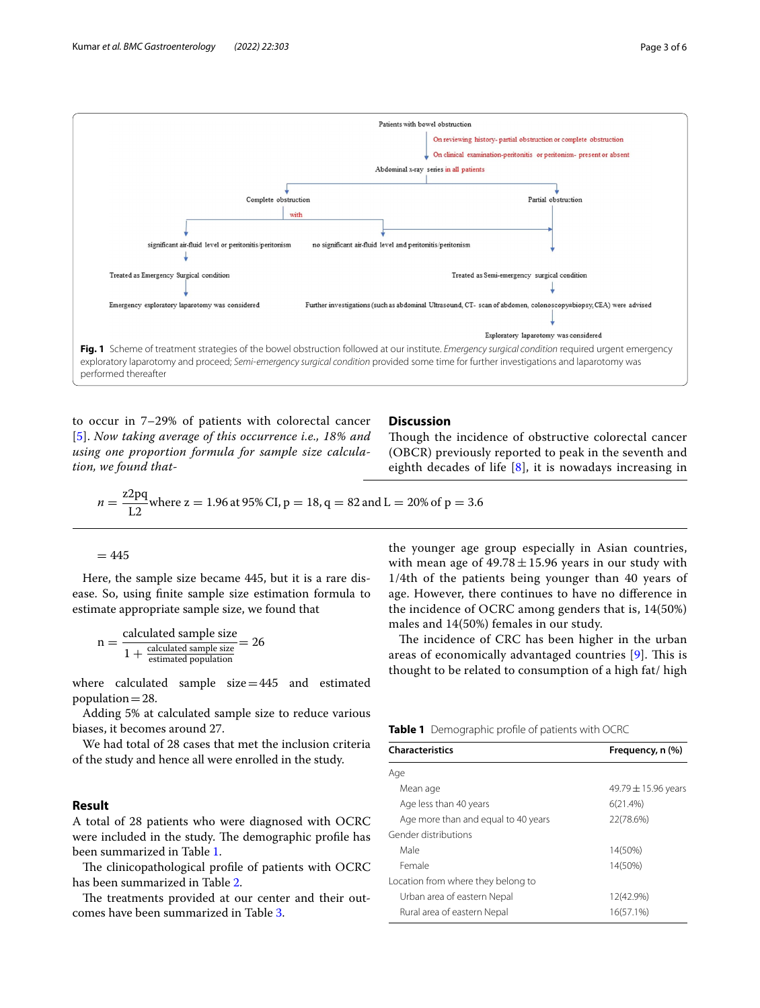

<span id="page-2-0"></span>to occur in 7–29% of patients with colorectal cancer [[5](#page-5-4)]. *Now taking average of this occurrence i.e., 18% and using one proportion formula for sample size calculation, we found that-*

# **Discussion**

Though the incidence of obstructive colorectal cancer (OBCR) previously reported to peak in the seventh and eighth decades of life [[8](#page-5-6)], it is nowadays increasing in

$$
n = \frac{z2pq}{L2} \text{where } z = 1.96 \text{ at } 95\% \text{ CI, } p = 18, q = 82 \text{ and } L = 20\% \text{ of } p = 3.6
$$

 $= 445$ 

Here, the sample size became 445, but it is a rare disease. So, using fnite sample size estimation formula to estimate appropriate sample size, we found that

$$
n = \frac{\text{calculated sample size}}{1 + \frac{\text{calculated sample size}}{\text{estimated population}}} = 26
$$

where calculated sample size=445 and estimated population $=28$ .

Adding 5% at calculated sample size to reduce various biases, it becomes around 27.

We had total of 28 cases that met the inclusion criteria of the study and hence all were enrolled in the study.

## **Result**

A total of 28 patients who were diagnosed with OCRC were included in the study. The demographic profile has been summarized in Table [1.](#page-2-1)

The clinicopathological profile of patients with OCRC has been summarized in Table [2.](#page-3-0)

The treatments provided at our center and their outcomes have been summarized in Table [3](#page-3-1).

the younger age group especially in Asian countries, with mean age of  $49.78 \pm 15.96$  years in our study with 1/4th of the patients being younger than 40 years of age. However, there continues to have no diference in the incidence of OCRC among genders that is, 14(50%) males and 14(50%) females in our study.

The incidence of CRC has been higher in the urban areas of economically advantaged countries  $[9]$  $[9]$  $[9]$ . This is thought to be related to consumption of a high fat/ high

<span id="page-2-1"></span>**Table 1** Demographic profle of patients with OCRC

| <b>Characteristics</b>              | Frequency, n (%)        |  |
|-------------------------------------|-------------------------|--|
| Age                                 |                         |  |
| Mean age                            | 49.79 $\pm$ 15.96 years |  |
| Age less than 40 years              | 6(21.4%)                |  |
| Age more than and equal to 40 years | 22(78.6%)               |  |
| Gender distributions                |                         |  |
| Male                                | 14(50%)                 |  |
| Female                              | 14(50%)                 |  |
| Location from where they belong to  |                         |  |
| Urban area of eastern Nepal         | 12(42.9%)               |  |
| Rural area of eastern Nepal         | 16(57.1%)               |  |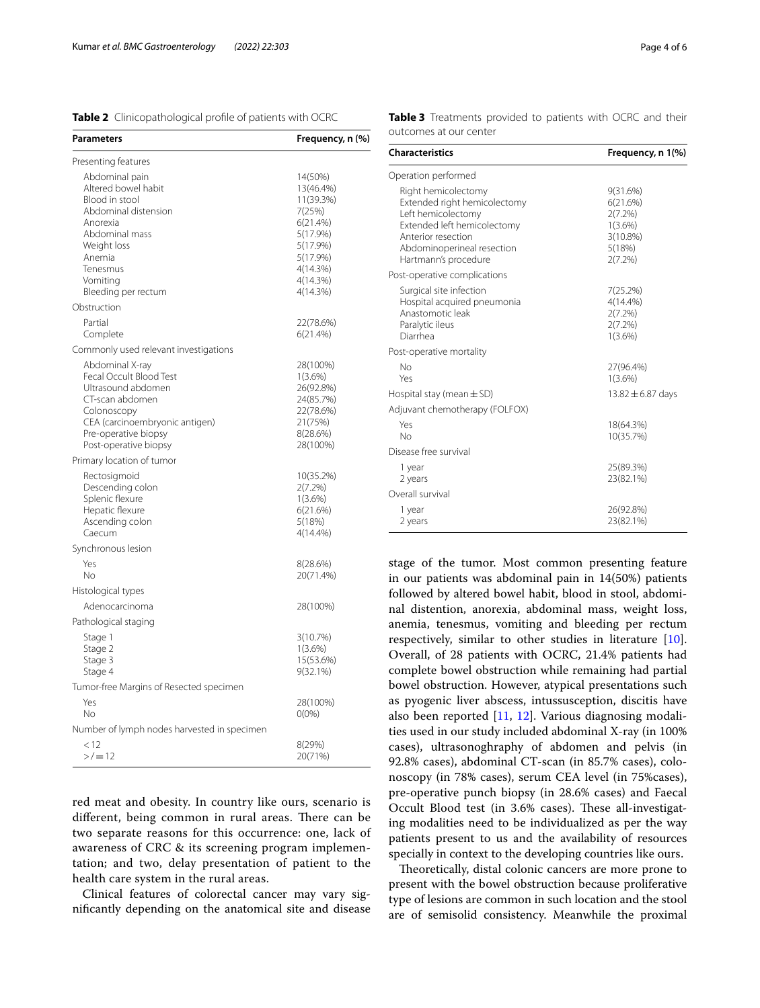<span id="page-3-0"></span>

|  | Table 2 Clinicopathological profile of patients with OCRC |  |  |  |  |
|--|-----------------------------------------------------------|--|--|--|--|
|--|-----------------------------------------------------------|--|--|--|--|

| Parameters                                                                                                                                                                            | Frequency, n (%)                                                                                                                |
|---------------------------------------------------------------------------------------------------------------------------------------------------------------------------------------|---------------------------------------------------------------------------------------------------------------------------------|
| Presenting features                                                                                                                                                                   |                                                                                                                                 |
| Abdominal pain<br>Altered bowel habit<br>Blood in stool<br>Abdominal distension<br>Anorexia<br>Abdominal mass<br>Weight loss<br>Anemia<br>Tenesmus<br>Vomiting<br>Bleeding per rectum | 14(50%)<br>13(46.4%)<br>11(39.3%)<br>7(25%)<br>6(21.4%)<br>5(17.9%)<br>5(17.9%)<br>5(17.9%)<br>4(14.3%)<br>4(14.3%)<br>4(14.3%) |
| Obstruction                                                                                                                                                                           |                                                                                                                                 |
| Partial<br>Complete                                                                                                                                                                   | 22(78.6%)<br>6(21.4%)                                                                                                           |
| Commonly used relevant investigations                                                                                                                                                 |                                                                                                                                 |
| Abdominal X-ray<br>Fecal Occult Blood Test<br>Ultrasound abdomen<br>CT-scan abdomen<br>Colonoscopy<br>CEA (carcinoembryonic antigen)<br>Pre-operative biopsy<br>Post-operative biopsy | 28(100%)<br>$1(3.6\%)$<br>26(92.8%)<br>24(85.7%)<br>22(78.6%)<br>21(75%)<br>8(28.6%)<br>28(100%)                                |
| Primary location of tumor                                                                                                                                                             |                                                                                                                                 |
| Rectosigmoid<br>Descending colon<br>Splenic flexure<br>Hepatic flexure<br>Ascending colon<br>Caecum                                                                                   | 10(35.2%)<br>2(7.2%)<br>$1(3.6\%)$<br>6(21.6%)<br>5(18%)<br>4(14.4%)                                                            |
| Synchronous lesion                                                                                                                                                                    |                                                                                                                                 |
| Yes<br>No                                                                                                                                                                             | 8(28.6%)<br>20(71.4%)                                                                                                           |
| Histological types                                                                                                                                                                    |                                                                                                                                 |
| Adenocarcinoma                                                                                                                                                                        | 28(100%)                                                                                                                        |
| Pathological staging                                                                                                                                                                  |                                                                                                                                 |
| Stage 1<br>Stage 2<br>Stage 3<br>Stage 4                                                                                                                                              | 3(10.7%)<br>$1(3.6\%)$<br>15(53.6%)<br>$9(32.1\%)$                                                                              |
| Tumor-free Margins of Resected specimen                                                                                                                                               |                                                                                                                                 |
| Yes<br>No                                                                                                                                                                             | 28(100%)<br>$0(0\%)$                                                                                                            |
| Number of lymph nodes harvested in specimen                                                                                                                                           |                                                                                                                                 |
| < 12<br>$>$ /=12                                                                                                                                                                      | 8(29%)<br>20(71%)                                                                                                               |

red meat and obesity. In country like ours, scenario is different, being common in rural areas. There can be two separate reasons for this occurrence: one, lack of awareness of CRC & its screening program implementation; and two, delay presentation of patient to the health care system in the rural areas.

Clinical features of colorectal cancer may vary signifcantly depending on the anatomical site and disease <span id="page-3-1"></span>**Table 3** Treatments provided to patients with OCRC and their outcomes at our center

| <b>Characteristics</b>                                                                                                                                                               | Frequency, n 1(%)                                                                 |  |  |  |
|--------------------------------------------------------------------------------------------------------------------------------------------------------------------------------------|-----------------------------------------------------------------------------------|--|--|--|
| Operation performed                                                                                                                                                                  |                                                                                   |  |  |  |
| Right hemicolectomy<br>Extended right hemicolectomy<br>Left hemicolectomy<br>Extended left hemicolectomy<br>Anterior resection<br>Abdominoperineal resection<br>Hartmann's procedure | 9(31.6%)<br>6(21.6%)<br>$2(7.2\%)$<br>$1(3.6\%)$<br>3(10.8%)<br>5(18%)<br>2(7.2%) |  |  |  |
| Post-operative complications                                                                                                                                                         |                                                                                   |  |  |  |
| Surgical site infection<br>Hospital acquired pneumonia<br>Anastomotic leak<br>Paralytic ileus<br>Diarrhea                                                                            | 7(25.2%)<br>$4(14.4\%)$<br>$2(7.2\%)$<br>$2(7.2\%)$<br>$1(3.6\%)$                 |  |  |  |
| Post-operative mortality                                                                                                                                                             |                                                                                   |  |  |  |
| No<br>Yes                                                                                                                                                                            | 27(96.4%)<br>$1(3.6\%)$                                                           |  |  |  |
| Hospital stay (mean $\pm$ SD)                                                                                                                                                        | $13.82 \pm 6.87$ days                                                             |  |  |  |
| Adjuvant chemotherapy (FOLFOX)                                                                                                                                                       |                                                                                   |  |  |  |
| Yes<br>No                                                                                                                                                                            | 18(64.3%)<br>10(35.7%)                                                            |  |  |  |
| Disease free survival                                                                                                                                                                |                                                                                   |  |  |  |
| 1 year<br>2 years                                                                                                                                                                    | 25(89.3%)<br>23(82.1%)                                                            |  |  |  |
| Overall survival                                                                                                                                                                     |                                                                                   |  |  |  |
| 1 year<br>2 years                                                                                                                                                                    | 26(92.8%)<br>23(82.1%)                                                            |  |  |  |

stage of the tumor. Most common presenting feature in our patients was abdominal pain in 14(50%) patients followed by altered bowel habit, blood in stool, abdominal distention, anorexia, abdominal mass, weight loss, anemia, tenesmus, vomiting and bleeding per rectum respectively, similar to other studies in literature [\[10](#page-5-8)]. Overall, of 28 patients with OCRC, 21.4% patients had complete bowel obstruction while remaining had partial bowel obstruction. However, atypical presentations such as pyogenic liver abscess, intussusception, discitis have also been reported [[11,](#page-5-9) [12\]](#page-5-10). Various diagnosing modalities used in our study included abdominal X-ray (in 100% cases), ultrasonoghraphy of abdomen and pelvis (in 92.8% cases), abdominal CT-scan (in 85.7% cases), colonoscopy (in 78% cases), serum CEA level (in 75%cases), pre-operative punch biopsy (in 28.6% cases) and Faecal Occult Blood test (in 3.6% cases). These all-investigating modalities need to be individualized as per the way patients present to us and the availability of resources specially in context to the developing countries like ours.

Theoretically, distal colonic cancers are more prone to present with the bowel obstruction because proliferative type of lesions are common in such location and the stool are of semisolid consistency. Meanwhile the proximal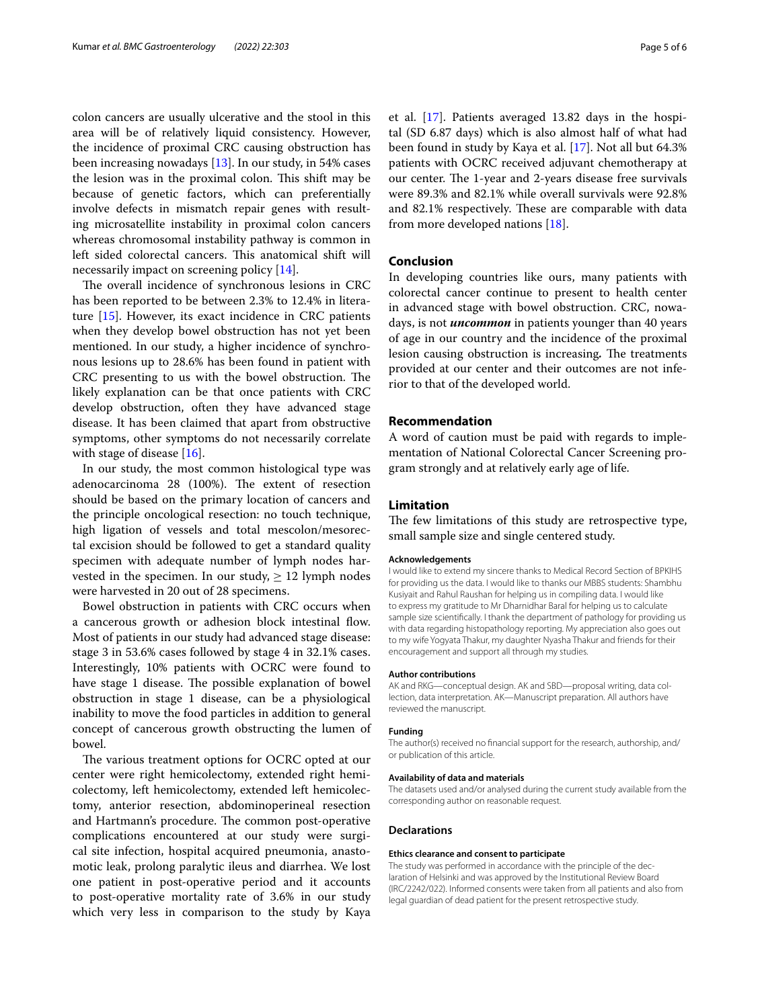colon cancers are usually ulcerative and the stool in this area will be of relatively liquid consistency. However, the incidence of proximal CRC causing obstruction has been increasing nowadays [[13](#page-5-11)]. In our study, in 54% cases the lesion was in the proximal colon. This shift may be because of genetic factors, which can preferentially involve defects in mismatch repair genes with resulting microsatellite instability in proximal colon cancers whereas chromosomal instability pathway is common in left sided colorectal cancers. This anatomical shift will necessarily impact on screening policy [\[14\]](#page-5-12).

The overall incidence of synchronous lesions in CRC has been reported to be between 2.3% to 12.4% in literature [\[15](#page-5-13)]. However, its exact incidence in CRC patients when they develop bowel obstruction has not yet been mentioned. In our study, a higher incidence of synchronous lesions up to 28.6% has been found in patient with CRC presenting to us with the bowel obstruction. The likely explanation can be that once patients with CRC develop obstruction, often they have advanced stage disease. It has been claimed that apart from obstructive symptoms, other symptoms do not necessarily correlate with stage of disease [\[16](#page-5-14)].

In our study, the most common histological type was adenocarcinoma 28 (100%). The extent of resection should be based on the primary location of cancers and the principle oncological resection: no touch technique, high ligation of vessels and total mescolon/mesorectal excision should be followed to get a standard quality specimen with adequate number of lymph nodes harvested in the specimen. In our study,  $\geq 12$  lymph nodes were harvested in 20 out of 28 specimens.

Bowel obstruction in patients with CRC occurs when a cancerous growth or adhesion block intestinal flow. Most of patients in our study had advanced stage disease: stage 3 in 53.6% cases followed by stage 4 in 32.1% cases. Interestingly, 10% patients with OCRC were found to have stage 1 disease. The possible explanation of bowel obstruction in stage 1 disease, can be a physiological inability to move the food particles in addition to general concept of cancerous growth obstructing the lumen of bowel.

The various treatment options for OCRC opted at our center were right hemicolectomy, extended right hemicolectomy, left hemicolectomy, extended left hemicolectomy, anterior resection, abdominoperineal resection and Hartmann's procedure. The common post-operative complications encountered at our study were surgical site infection, hospital acquired pneumonia, anastomotic leak, prolong paralytic ileus and diarrhea. We lost one patient in post-operative period and it accounts to post-operative mortality rate of 3.6% in our study which very less in comparison to the study by Kaya et al. [\[17](#page-5-15)]. Patients averaged 13.82 days in the hospital (SD 6.87 days) which is also almost half of what had been found in study by Kaya et al. [[17\]](#page-5-15). Not all but 64.3% patients with OCRC received adjuvant chemotherapy at our center. The 1-year and 2-years disease free survivals were 89.3% and 82.1% while overall survivals were 92.8% and 82.1% respectively. These are comparable with data from more developed nations [[18\]](#page-5-16).

#### **Conclusion**

In developing countries like ours, many patients with colorectal cancer continue to present to health center in advanced stage with bowel obstruction. CRC, nowadays, is not *uncommon* in patients younger than 40 years of age in our country and the incidence of the proximal lesion causing obstruction is increasing. The treatments provided at our center and their outcomes are not inferior to that of the developed world.

## **Recommendation**

A word of caution must be paid with regards to implementation of National Colorectal Cancer Screening program strongly and at relatively early age of life.

# **Limitation**

The few limitations of this study are retrospective type, small sample size and single centered study.

#### **Acknowledgements**

I would like to extend my sincere thanks to Medical Record Section of BPKIHS for providing us the data. I would like to thanks our MBBS students: Shambhu Kusiyait and Rahul Raushan for helping us in compiling data. I would like to express my gratitude to Mr Dharnidhar Baral for helping us to calculate sample size scientifcally. I thank the department of pathology for providing us with data regarding histopathology reporting. My appreciation also goes out to my wife Yogyata Thakur, my daughter Nyasha Thakur and friends for their encouragement and support all through my studies.

#### **Author contributions**

AK and RKG—conceptual design. AK and SBD—proposal writing, data collection, data interpretation. AK—Manuscript preparation. All authors have reviewed the manuscript.

#### **Funding**

The author(s) received no fnancial support for the research, authorship, and/ or publication of this article.

#### **Availability of data and materials**

The datasets used and/or analysed during the current study available from the corresponding author on reasonable request.

#### **Declarations**

#### **Ethics clearance and consent to participate**

The study was performed in accordance with the principle of the declaration of Helsinki and was approved by the Institutional Review Board (IRC/2242/022). Informed consents were taken from all patients and also from legal guardian of dead patient for the present retrospective study.